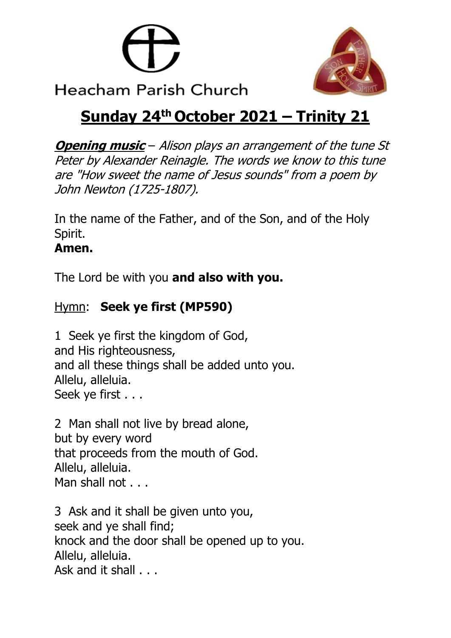



# **Sunday 24th October 2021 – Trinity 21**

**Opening music** – Alison plays an arrangement of the tune St Peter by Alexander Reinagle. The words we know to this tune are "How sweet the name of Jesus sounds" from a poem by John Newton (1725-1807).

In the name of the Father, and of the Son, and of the Holy Spirit.

# **Amen.**

The Lord be with you **and also with you.**

# Hymn: **Seek ye first (MP590)**

1 Seek ye first the kingdom of God, and His righteousness, and all these things shall be added unto you. Allelu, alleluia. Seek ye first . . .

2 Man shall not live by bread alone, but by every word that proceeds from the mouth of God. Allelu, alleluia. Man shall not . . .

3 Ask and it shall be given unto you, seek and ye shall find; knock and the door shall be opened up to you. Allelu, alleluia. Ask and it shall . . .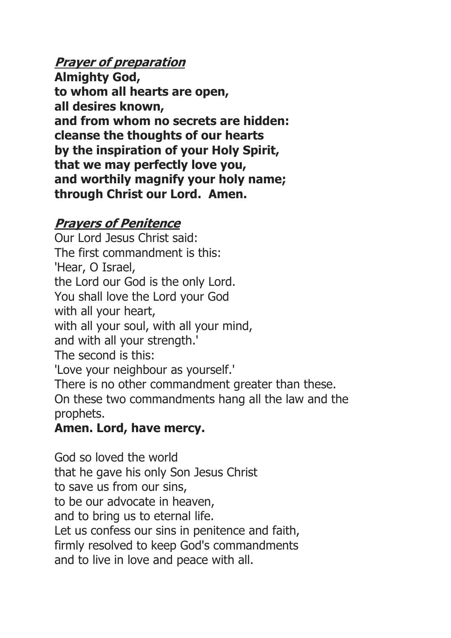# **Prayer of preparation**

**Almighty God, to whom all hearts are open, all desires known, and from whom no secrets are hidden: cleanse the thoughts of our hearts by the inspiration of your Holy Spirit, that we may perfectly love you, and worthily magnify your holy name; through Christ our Lord. Amen.**

#### **Prayers of Penitence**

Our Lord Jesus Christ said: The first commandment is this: 'Hear, O Israel, the Lord our God is the only Lord. You shall love the Lord your God with all your heart, with all your soul, with all your mind, and with all your strength.' The second is this: 'Love your neighbour as yourself.' There is no other commandment greater than these. On these two commandments hang all the law and the prophets.

# **Amen. Lord, have mercy.**

God so loved the world that he gave his only Son Jesus Christ to save us from our sins, to be our advocate in heaven, and to bring us to eternal life. Let us confess our sins in penitence and faith, firmly resolved to keep God's commandments and to live in love and peace with all.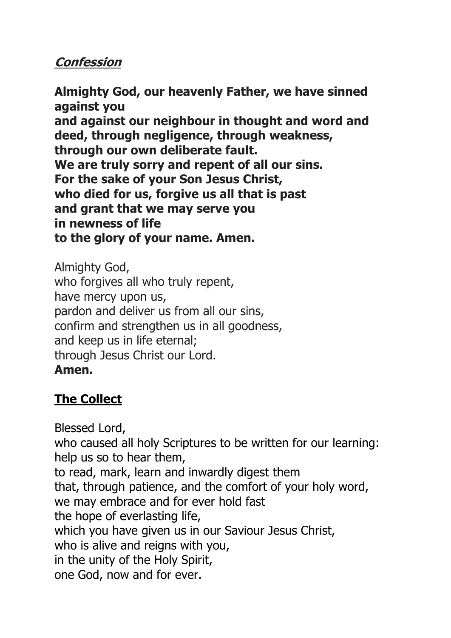### **Confession**

**Almighty God, our heavenly Father, we have sinned against you and against our neighbour in thought and word and deed, through negligence, through weakness, through our own deliberate fault. We are truly sorry and repent of all our sins. For the sake of your Son Jesus Christ, who died for us, forgive us all that is past and grant that we may serve you in newness of life to the glory of your name. Amen.**

Almighty God, who forgives all who truly repent, have mercy upon us, pardon and deliver us from all our sins, confirm and strengthen us in all goodness, and keep us in life eternal; through Jesus Christ our Lord. **Amen.**

# **The Collect**

Blessed Lord, who caused all holy Scriptures to be written for our learning: help us so to hear them, to read, mark, learn and inwardly digest them that, through patience, and the comfort of your holy word, we may embrace and for ever hold fast the hope of everlasting life, which you have given us in our Saviour Jesus Christ, who is alive and reigns with you, in the unity of the Holy Spirit, one God, now and for ever.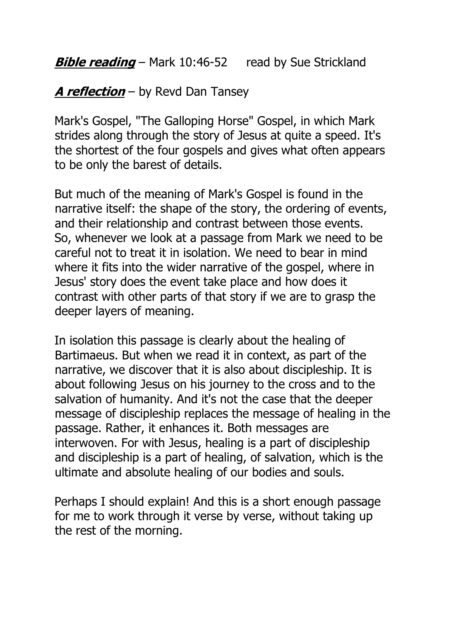**Bible reading** – Mark 10:46-52 read by Sue Strickland

#### **A reflection** – by Revd Dan Tansey

Mark's Gospel, "The Galloping Horse" Gospel, in which Mark strides along through the story of Jesus at quite a speed. It's the shortest of the four gospels and gives what often appears to be only the barest of details.

But much of the meaning of Mark's Gospel is found in the narrative itself: the shape of the story, the ordering of events, and their relationship and contrast between those events. So, whenever we look at a passage from Mark we need to be careful not to treat it in isolation. We need to bear in mind where it fits into the wider narrative of the gospel, where in Jesus' story does the event take place and how does it contrast with other parts of that story if we are to grasp the deeper layers of meaning.

In isolation this passage is clearly about the healing of Bartimaeus. But when we read it in context, as part of the narrative, we discover that it is also about discipleship. It is about following Jesus on his journey to the cross and to the salvation of humanity. And it's not the case that the deeper message of discipleship replaces the message of healing in the passage. Rather, it enhances it. Both messages are interwoven. For with Jesus, healing is a part of discipleship and discipleship is a part of healing, of salvation, which is the ultimate and absolute healing of our bodies and souls.

Perhaps I should explain! And this is a short enough passage for me to work through it verse by verse, without taking up the rest of the morning.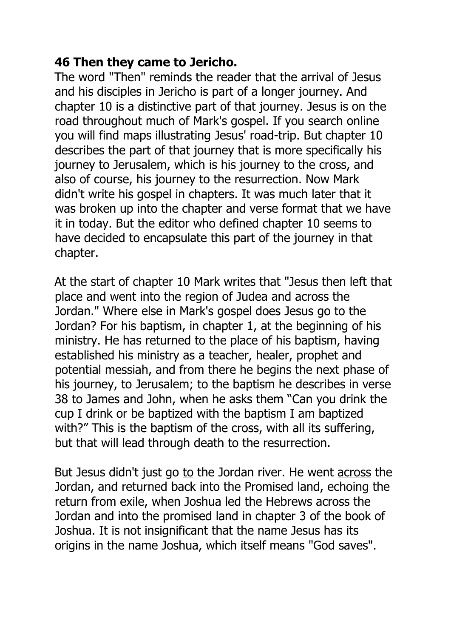#### **46 Then they came to Jericho.**

The word "Then" reminds the reader that the arrival of Jesus and his disciples in Jericho is part of a longer journey. And chapter 10 is a distinctive part of that journey. Jesus is on the road throughout much of Mark's gospel. If you search online you will find maps illustrating Jesus' road-trip. But chapter 10 describes the part of that journey that is more specifically his journey to Jerusalem, which is his journey to the cross, and also of course, his journey to the resurrection. Now Mark didn't write his gospel in chapters. It was much later that it was broken up into the chapter and verse format that we have it in today. But the editor who defined chapter 10 seems to have decided to encapsulate this part of the journey in that chapter.

At the start of chapter 10 Mark writes that "Jesus then left that place and went into the region of Judea and across the Jordan." Where else in Mark's gospel does Jesus go to the Jordan? For his baptism, in chapter 1, at the beginning of his ministry. He has returned to the place of his baptism, having established his ministry as a teacher, healer, prophet and potential messiah, and from there he begins the next phase of his journey, to Jerusalem; to the baptism he describes in verse 38 to James and John, when he asks them "Can you drink the cup I drink or be baptized with the baptism I am baptized with?" This is the baptism of the cross, with all its suffering, but that will lead through death to the resurrection.

But Jesus didn't just go to the Jordan river. He went across the Jordan, and returned back into the Promised land, echoing the return from exile, when Joshua led the Hebrews across the Jordan and into the promised land in chapter 3 of the book of Joshua. It is not insignificant that the name Jesus has its origins in the name Joshua, which itself means "God saves".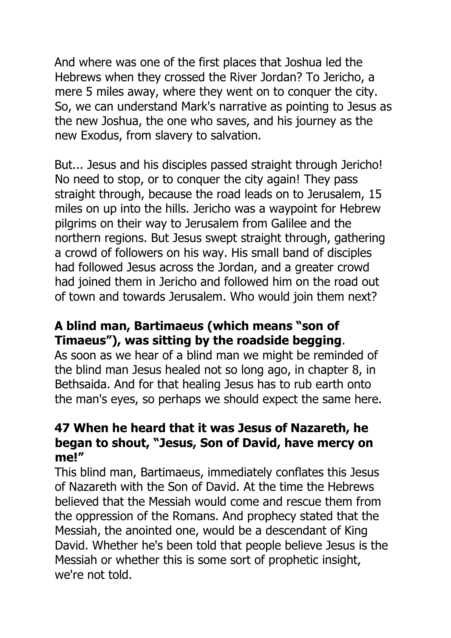And where was one of the first places that Joshua led the Hebrews when they crossed the River Jordan? To Jericho, a mere 5 miles away, where they went on to conquer the city. So, we can understand Mark's narrative as pointing to Jesus as the new Joshua, the one who saves, and his journey as the new Exodus, from slavery to salvation.

But... Jesus and his disciples passed straight through Jericho! No need to stop, or to conquer the city again! They pass straight through, because the road leads on to Jerusalem, 15 miles on up into the hills. Jericho was a waypoint for Hebrew pilgrims on their way to Jerusalem from Galilee and the northern regions. But Jesus swept straight through, gathering a crowd of followers on his way. His small band of disciples had followed Jesus across the Jordan, and a greater crowd had joined them in Jericho and followed him on the road out of town and towards Jerusalem. Who would join them next?

### **A blind man, Bartimaeus (which means "son of Timaeus"), was sitting by the roadside begging**.

As soon as we hear of a blind man we might be reminded of the blind man Jesus healed not so long ago, in chapter 8, in Bethsaida. And for that healing Jesus has to rub earth onto the man's eyes, so perhaps we should expect the same here.

#### **47 When he heard that it was Jesus of Nazareth, he began to shout, "Jesus, Son of David, have mercy on me!"**

This blind man, Bartimaeus, immediately conflates this Jesus of Nazareth with the Son of David. At the time the Hebrews believed that the Messiah would come and rescue them from the oppression of the Romans. And prophecy stated that the Messiah, the anointed one, would be a descendant of King David. Whether he's been told that people believe Jesus is the Messiah or whether this is some sort of prophetic insight, we're not told.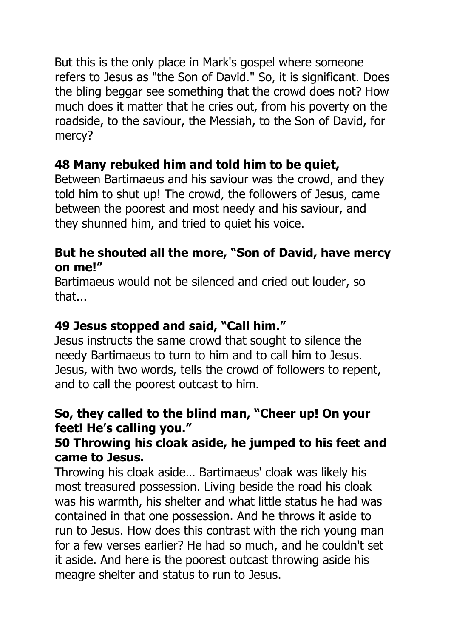But this is the only place in Mark's gospel where someone refers to Jesus as "the Son of David." So, it is significant. Does the bling beggar see something that the crowd does not? How much does it matter that he cries out, from his poverty on the roadside, to the saviour, the Messiah, to the Son of David, for mercy?

# **48 Many rebuked him and told him to be quiet,**

Between Bartimaeus and his saviour was the crowd, and they told him to shut up! The crowd, the followers of Jesus, came between the poorest and most needy and his saviour, and they shunned him, and tried to quiet his voice.

#### **But he shouted all the more, "Son of David, have mercy on me!"**

Bartimaeus would not be silenced and cried out louder, so that...

# **49 Jesus stopped and said, "Call him."**

Jesus instructs the same crowd that sought to silence the needy Bartimaeus to turn to him and to call him to Jesus. Jesus, with two words, tells the crowd of followers to repent, and to call the poorest outcast to him.

#### **So, they called to the blind man, "Cheer up! On your feet! He's calling you."**

#### **50 Throwing his cloak aside, he jumped to his feet and came to Jesus.**

Throwing his cloak aside… Bartimaeus' cloak was likely his most treasured possession. Living beside the road his cloak was his warmth, his shelter and what little status he had was contained in that one possession. And he throws it aside to run to Jesus. How does this contrast with the rich young man for a few verses earlier? He had so much, and he couldn't set it aside. And here is the poorest outcast throwing aside his meagre shelter and status to run to Jesus.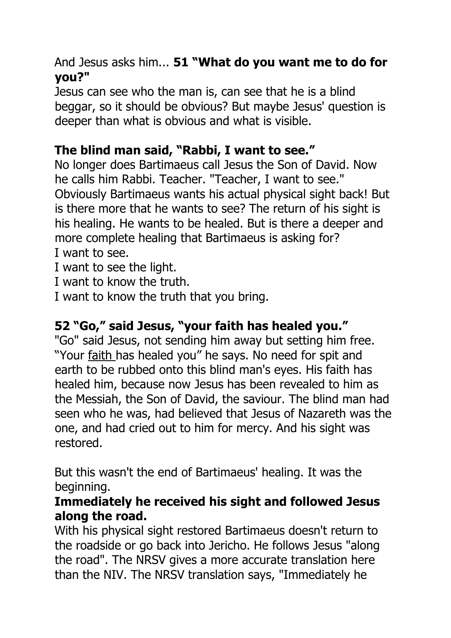#### And Jesus asks him... **51 "What do you want me to do for you?"**

Jesus can see who the man is, can see that he is a blind beggar, so it should be obvious? But maybe Jesus' question is deeper than what is obvious and what is visible.

# **The blind man said, "Rabbi, I want to see."**

No longer does Bartimaeus call Jesus the Son of David. Now he calls him Rabbi. Teacher. "Teacher, I want to see." Obviously Bartimaeus wants his actual physical sight back! But is there more that he wants to see? The return of his sight is his healing. He wants to be healed. But is there a deeper and more complete healing that Bartimaeus is asking for? I want to see.

I want to see the light.

I want to know the truth.

I want to know the truth that you bring.

# **52 "Go," said Jesus, "your faith has healed you."**

"Go" said Jesus, not sending him away but setting him free. "Your faith has healed you" he says. No need for spit and earth to be rubbed onto this blind man's eyes. His faith has healed him, because now Jesus has been revealed to him as the Messiah, the Son of David, the saviour. The blind man had seen who he was, had believed that Jesus of Nazareth was the one, and had cried out to him for mercy. And his sight was restored.

But this wasn't the end of Bartimaeus' healing. It was the beginning.

#### **Immediately he received his sight and followed Jesus along the road.**

With his physical sight restored Bartimaeus doesn't return to the roadside or go back into Jericho. He follows Jesus "along the road". The NRSV gives a more accurate translation here than the NIV. The NRSV translation says, "Immediately he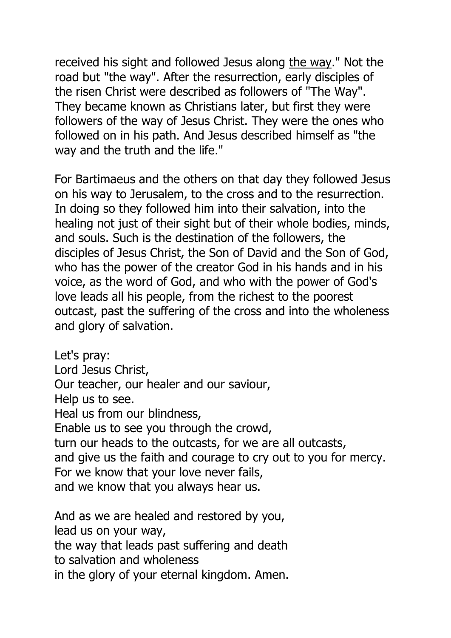received his sight and followed Jesus along the way." Not the road but "the way". After the resurrection, early disciples of the risen Christ were described as followers of "The Way". They became known as Christians later, but first they were followers of the way of Jesus Christ. They were the ones who followed on in his path. And Jesus described himself as "the way and the truth and the life."

For Bartimaeus and the others on that day they followed Jesus on his way to Jerusalem, to the cross and to the resurrection. In doing so they followed him into their salvation, into the healing not just of their sight but of their whole bodies, minds, and souls. Such is the destination of the followers, the disciples of Jesus Christ, the Son of David and the Son of God, who has the power of the creator God in his hands and in his voice, as the word of God, and who with the power of God's love leads all his people, from the richest to the poorest outcast, past the suffering of the cross and into the wholeness and glory of salvation.

Let's pray: Lord Jesus Christ, Our teacher, our healer and our saviour, Help us to see. Heal us from our blindness, Enable us to see you through the crowd, turn our heads to the outcasts, for we are all outcasts, and give us the faith and courage to cry out to you for mercy. For we know that your love never fails, and we know that you always hear us.

And as we are healed and restored by you, lead us on your way, the way that leads past suffering and death to salvation and wholeness in the glory of your eternal kingdom. Amen.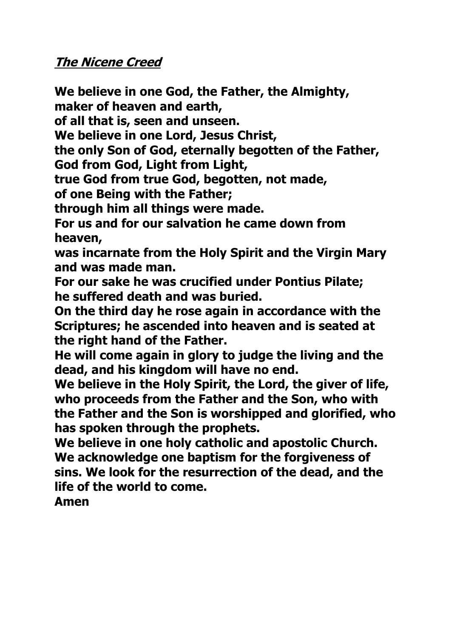#### **The Nicene Creed**

**We believe in one God, the Father, the Almighty,**

**maker of heaven and earth,**

**of all that is, seen and unseen.**

**We believe in one Lord, Jesus Christ,**

**the only Son of God, eternally begotten of the Father,**

**God from God, Light from Light,**

**true God from true God, begotten, not made,**

**of one Being with the Father;**

**through him all things were made.**

**For us and for our salvation he came down from heaven,**

**was incarnate from the Holy Spirit and the Virgin Mary and was made man.**

**For our sake he was crucified under Pontius Pilate; he suffered death and was buried.**

**On the third day he rose again in accordance with the Scriptures; he ascended into heaven and is seated at the right hand of the Father.**

**He will come again in glory to judge the living and the dead, and his kingdom will have no end.**

**We believe in the Holy Spirit, the Lord, the giver of life, who proceeds from the Father and the Son, who with the Father and the Son is worshipped and glorified, who has spoken through the prophets.**

**We believe in one holy catholic and apostolic Church. We acknowledge one baptism for the forgiveness of sins. We look for the resurrection of the dead, and the life of the world to come.**

**Amen**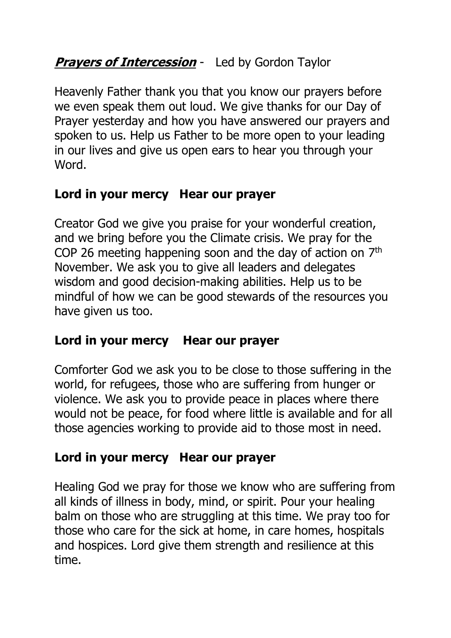# **Prayers of Intercession** - Led by Gordon Taylor

Heavenly Father thank you that you know our prayers before we even speak them out loud. We give thanks for our Day of Prayer yesterday and how you have answered our prayers and spoken to us. Help us Father to be more open to your leading in our lives and give us open ears to hear you through your Word.

# **Lord in your mercy Hear our prayer**

Creator God we give you praise for your wonderful creation, and we bring before you the Climate crisis. We pray for the COP 26 meeting happening soon and the day of action on  $7<sup>th</sup>$ November. We ask you to give all leaders and delegates wisdom and good decision-making abilities. Help us to be mindful of how we can be good stewards of the resources you have given us too.

# **Lord in your mercy Hear our prayer**

Comforter God we ask you to be close to those suffering in the world, for refugees, those who are suffering from hunger or violence. We ask you to provide peace in places where there would not be peace, for food where little is available and for all those agencies working to provide aid to those most in need.

# **Lord in your mercy Hear our prayer**

Healing God we pray for those we know who are suffering from all kinds of illness in body, mind, or spirit. Pour your healing balm on those who are struggling at this time. We pray too for those who care for the sick at home, in care homes, hospitals and hospices. Lord give them strength and resilience at this time.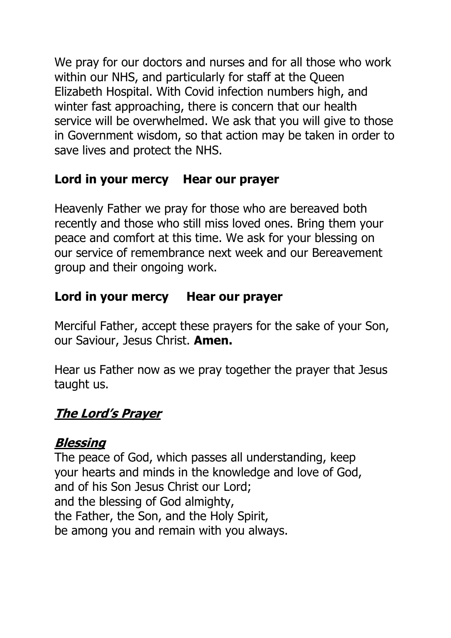We pray for our doctors and nurses and for all those who work within our NHS, and particularly for staff at the Queen Elizabeth Hospital. With Covid infection numbers high, and winter fast approaching, there is concern that our health service will be overwhelmed. We ask that you will give to those in Government wisdom, so that action may be taken in order to save lives and protect the NHS.

# **Lord in your mercy Hear our prayer**

Heavenly Father we pray for those who are bereaved both recently and those who still miss loved ones. Bring them your peace and comfort at this time. We ask for your blessing on our service of remembrance next week and our Bereavement group and their ongoing work.

# **Lord in your mercy Hear our prayer**

Merciful Father, accept these prayers for the sake of your Son, our Saviour, Jesus Christ. **Amen.**

Hear us Father now as we pray together the prayer that Jesus taught us.

# **The Lord's Prayer**

# **Blessing**

The peace of God, which passes all understanding, keep your hearts and minds in the knowledge and love of God, and of his Son Jesus Christ our Lord; and the blessing of God almighty, the Father, the Son, and the Holy Spirit, be among you and remain with you always.